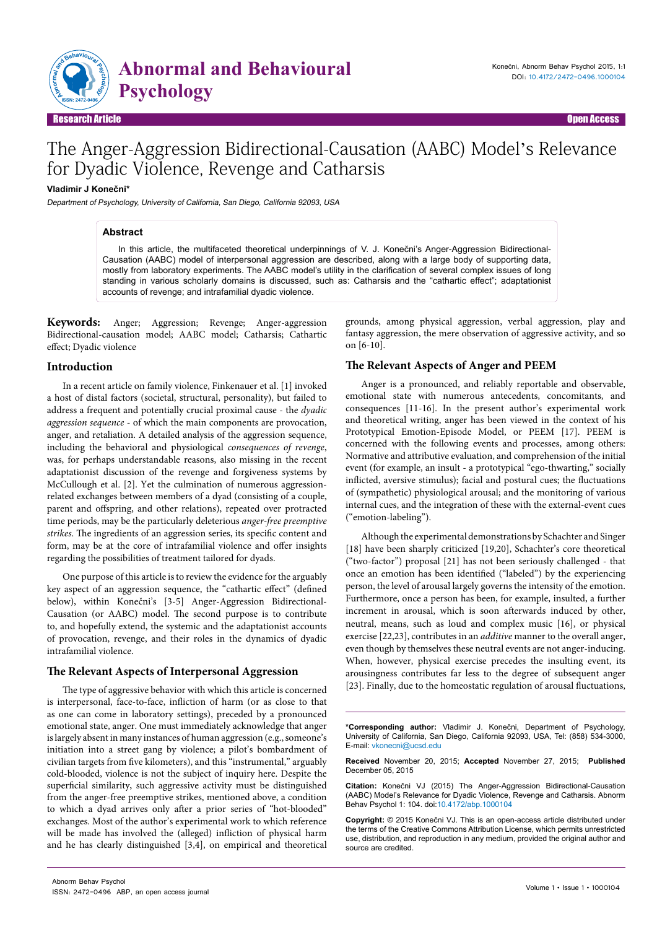

# The Anger-Aggression Bidirectional-Causation (AABC) Model's Relevance for Dyadic Violence, Revenge and Catharsis

## **Vladimir J Konečni\***

Department of Psychology, University of California, San Diego, California 92093, USA

#### **Abstract**

In this article, the multifaceted theoretical underpinnings of V. J. Konečni's Anger-Aggression Bidirectional-Causation (AABC) model of interpersonal aggression are described, along with a large body of supporting data, mostly from laboratory experiments. The AABC model's utility in the clarification of several complex issues of long standing in various scholarly domains is discussed, such as: Catharsis and the "cathartic effect"; adaptationist accounts of revenge; and intrafamilial dyadic violence.

**Keywords:** Anger; Aggression; Revenge; Anger-aggression Bidirectional-causation model; AABC model; Catharsis; Cathartic effect; Dyadic violence

#### **Introduction**

In a recent article on family violence, Finkenauer et al. [1] invoked a host of distal factors (societal, structural, personality), but failed to address a frequent and potentially crucial proximal cause - the *dyadic aggression sequence* - of which the main components are provocation, anger, and retaliation. A detailed analysis of the aggression sequence, including the behavioral and physiological *consequences of revenge*, was, for perhaps understandable reasons, also missing in the recent adaptationist discussion of the revenge and forgiveness systems by McCullough et al. [2]. Yet the culmination of numerous aggressionrelated exchanges between members of a dyad (consisting of a couple, parent and offspring, and other relations), repeated over protracted time periods, may be the particularly deleterious *anger-free preemptive strikes*. The ingredients of an aggression series, its specific content and form, may be at the core of intrafamilial violence and offer insights regarding the possibilities of treatment tailored for dyads.

One purpose of this article is to review the evidence for the arguably key aspect of an aggression sequence, the "cathartic effect" (defined below), within Konečni's [3-5] Anger-Aggression Bidirectional-Causation (or AABC) model. The second purpose is to contribute to, and hopefully extend, the systemic and the adaptationist accounts of provocation, revenge, and their roles in the dynamics of dyadic intrafamilial violence.

#### **The Relevant Aspects of Interpersonal Aggression**

The type of aggressive behavior with which this article is concerned is interpersonal, face-to-face, infliction of harm (or as close to that as one can come in laboratory settings), preceded by a pronounced emotional state, anger. One must immediately acknowledge that anger is largely absent in many instances of human aggression (e.g., someone's initiation into a street gang by violence; a pilot's bombardment of civilian targets from five kilometers), and this "instrumental," arguably cold-blooded, violence is not the subject of inquiry here. Despite the superficial similarity, such aggressive activity must be distinguished from the anger-free preemptive strikes, mentioned above, a condition to which a dyad arrives only after a prior series of "hot-blooded" exchanges. Most of the author's experimental work to which reference will be made has involved the (alleged) infliction of physical harm and he has clearly distinguished [3,4], on empirical and theoretical

grounds, among physical aggression, verbal aggression, play and fantasy aggression, the mere observation of aggressive activity, and so on [6-10].

#### **The Relevant Aspects of Anger and PEEM**

Anger is a pronounced, and reliably reportable and observable, emotional state with numerous antecedents, concomitants, and consequences [11-16]. In the present author's experimental work and theoretical writing, anger has been viewed in the context of his Prototypical Emotion-Episode Model, or PEEM [17]. PEEM is concerned with the following events and processes, among others: Normative and attributive evaluation, and comprehension of the initial event (for example, an insult - a prototypical "ego-thwarting," socially inflicted, aversive stimulus); facial and postural cues; the fluctuations of (sympathetic) physiological arousal; and the monitoring of various internal cues, and the integration of these with the external-event cues ("emotion-labeling").

Although the experimental demonstrations by Schachter and Singer [18] have been sharply criticized [19,20], Schachter's core theoretical ("two-factor") proposal [21] has not been seriously challenged - that once an emotion has been identified ("labeled") by the experiencing person, the level of arousal largely governs the intensity of the emotion. Furthermore, once a person has been, for example, insulted, a further increment in arousal, which is soon afterwards induced by other, neutral, means, such as loud and complex music [16], or physical exercise [22,23], contributes in an *additive* manner to the overall anger, even though by themselves these neutral events are not anger-inducing. When, however, physical exercise precedes the insulting event, its arousingness contributes far less to the degree of subsequent anger [23]. Finally, due to the homeostatic regulation of arousal fluctuations,

**\*Corresponding author:** Vladimir J. Konečni, Department of Psychology, University of California, San Diego, California 92093, USA, Tel: (858) 534-3000, E-mail: vkonecni@ucsd.edu

**Received** November 20, 2015; **Accepted** November 27, 2015; **Published** December 05, 2015

**Citation:** Konečni VJ (2015) The Anger-Aggression Bidirectional-Causation (AABC) Model's Relevance for Dyadic Violence, Revenge and Catharsis. Abnorm Behav Psychol 1: 104. doi:10.4172/abp.1000104

**Copyright:** © 2015 Konečni VJ. This is an open-access article distributed under the terms of the Creative Commons Attribution License, which permits unrestricted use, distribution, and reproduction in any medium, provided the original author and source are credited.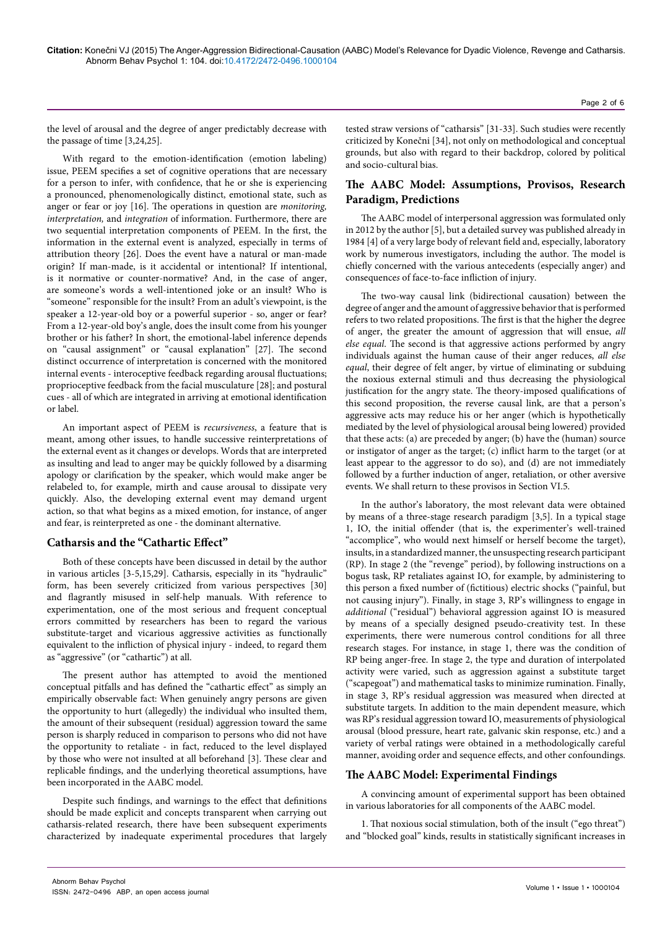the level of arousal and the degree of anger predictably decrease with the passage of time [3,24,25].

With regard to the emotion-identification (emotion labeling) issue, PEEM specifies a set of cognitive operations that are necessary for a person to infer, with confidence, that he or she is experiencing a pronounced, phenomenologically distinct, emotional state, such as anger or fear or joy [16]. The operations in question are *monitoring, interpretation,* and *integration* of information. Furthermore, there are two sequential interpretation components of PEEM. In the first, the information in the external event is analyzed, especially in terms of attribution theory [26]. Does the event have a natural or man-made origin? If man-made, is it accidental or intentional? If intentional, is it normative or counter-normative? And, in the case of anger, are someone's words a well-intentioned joke or an insult? Who is "someone" responsible for the insult? From an adult's viewpoint, is the speaker a 12-year-old boy or a powerful superior - so, anger or fear? From a 12-year-old boy's angle, does the insult come from his younger brother or his father? In short, the emotional-label inference depends on "causal assignment" or "causal explanation" [27]. The second distinct occurrence of interpretation is concerned with the monitored internal events - interoceptive feedback regarding arousal fluctuations; proprioceptive feedback from the facial musculature [28]; and postural cues - all of which are integrated in arriving at emotional identification or label.

An important aspect of PEEM is *recursiveness*, a feature that is meant, among other issues, to handle successive reinterpretations of the external event as it changes or develops. Words that are interpreted as insulting and lead to anger may be quickly followed by a disarming apology or clarification by the speaker, which would make anger be relabeled to, for example, mirth and cause arousal to dissipate very quickly. Also, the developing external event may demand urgent action, so that what begins as a mixed emotion, for instance, of anger and fear, is reinterpreted as one - the dominant alternative.

## **Catharsis and the "Cathartic Effect"**

Both of these concepts have been discussed in detail by the author in various articles [3-5,15,29]. Catharsis, especially in its "hydraulic" form, has been severely criticized from various perspectives [30] and flagrantly misused in self-help manuals. With reference to experimentation, one of the most serious and frequent conceptual errors committed by researchers has been to regard the various substitute-target and vicarious aggressive activities as functionally equivalent to the infliction of physical injury - indeed, to regard them as "aggressive" (or "cathartic") at all.

The present author has attempted to avoid the mentioned conceptual pitfalls and has defined the "cathartic effect" as simply an empirically observable fact: When genuinely angry persons are given the opportunity to hurt (allegedly) the individual who insulted them, the amount of their subsequent (residual) aggression toward the same person is sharply reduced in comparison to persons who did not have the opportunity to retaliate - in fact, reduced to the level displayed by those who were not insulted at all beforehand [3]. These clear and replicable findings, and the underlying theoretical assumptions, have been incorporated in the AABC model.

Despite such findings, and warnings to the effect that definitions should be made explicit and concepts transparent when carrying out catharsis-related research, there have been subsequent experiments characterized by inadequate experimental procedures that largely tested straw versions of "catharsis" [31-33]. Such studies were recently criticized by Konečni [34], not only on methodological and conceptual grounds, but also with regard to their backdrop, colored by political and socio-cultural bias.

# **The AABC Model: Assumptions, Provisos, Research Paradigm, Predictions**

The AABC model of interpersonal aggression was formulated only in 2012 by the author [5], but a detailed survey was published already in 1984 [4] of a very large body of relevant field and, especially, laboratory work by numerous investigators, including the author. The model is chiefly concerned with the various antecedents (especially anger) and consequence*s* of face-to-face infliction of injury.

The two-way causal link (bidirectional causation) between the degree of anger and the amount of aggressive behavior that is performed refers to two related propositions. The first is that the higher the degree of anger, the greater the amount of aggression that will ensue, *all else equal*. The second is that aggressive actions performed by angry individuals against the human cause of their anger reduces, *all else equal*, their degree of felt anger, by virtue of eliminating or subduing the noxious external stimuli and thus decreasing the physiological justification for the angry state. The theory-imposed qualifications of this second proposition, the reverse causal link, are that a person's aggressive acts may reduce his or her anger (which is hypothetically mediated by the level of physiological arousal being lowered) provided that these acts: (a) are preceded by anger; (b) have the (human) source or instigator of anger as the target; (c) inflict harm to the target (or at least appear to the aggressor to do so), and (d) are not immediately followed by a further induction of anger, retaliation, or other aversive events. We shall return to these provisos in Section VI.5.

In the author's laboratory, the most relevant data were obtained by means of a three-stage research paradigm [3,5]. In a typical stage 1, IO, the initial offender (that is, the experimenter's well-trained "accomplice", who would next himself or herself become the target), insults, in a standardized manner, the unsuspecting research participant (RP). In stage 2 (the "revenge" period), by following instructions on a bogus task, RP retaliates against IO, for example, by administering to this person a fixed number of (fictitious) electric shocks ("painful, but not causing injury"). Finally, in stage 3, RP's willingness to engage in *additional* ("residual") behavioral aggression against IO is measured by means of a specially designed pseudo-creativity test. In these experiments, there were numerous control conditions for all three research stages. For instance, in stage 1, there was the condition of RP being anger-free. In stage 2, the type and duration of interpolated activity were varied, such as aggression against a substitute target ("scapegoat") and mathematical tasks to minimize rumination. Finally, in stage 3, RP's residual aggression was measured when directed at substitute targets. In addition to the main dependent measure, which was RP's residual aggression toward IO, measurements of physiological arousal (blood pressure, heart rate, galvanic skin response, etc.) and a variety of verbal ratings were obtained in a methodologically careful manner, avoiding order and sequence effects, and other confoundings.

#### **The AABC Model: Experimental Findings**

A convincing amount of experimental support has been obtained in various laboratories for all components of the AABC model.

1. That noxious social stimulation, both of the insult ("ego threat") and "blocked goal" kinds, results in statistically significant increases in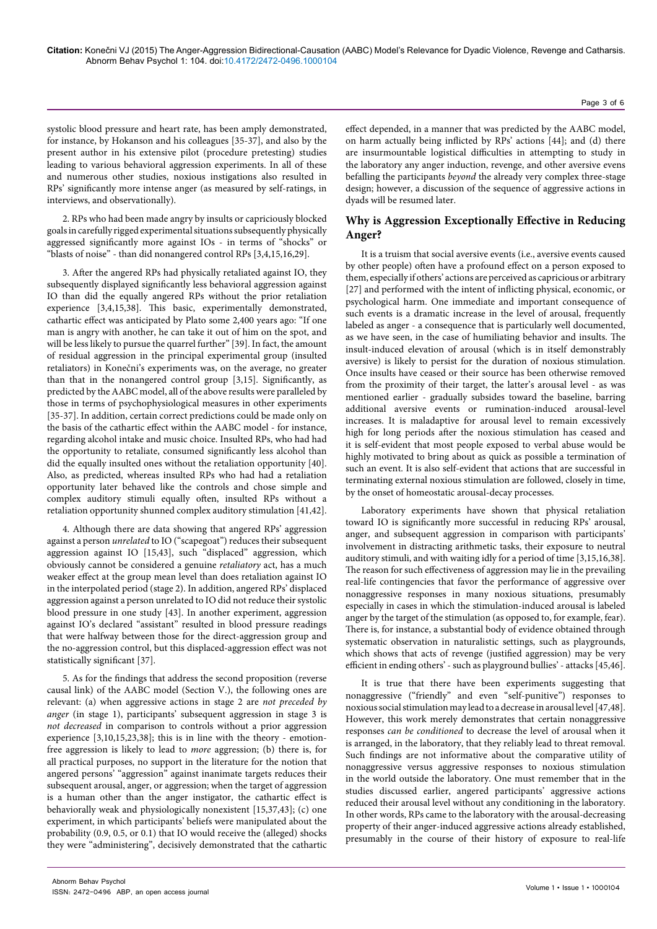systolic blood pressure and heart rate, has been amply demonstrated, for instance, by Hokanson and his colleagues [35-37], and also by the present author in his extensive pilot (procedure pretesting) studies leading to various behavioral aggression experiments. In all of these and numerous other studies, noxious instigations also resulted in RPs' significantly more intense anger (as measured by self-ratings, in interviews, and observationally).

2. RPs who had been made angry by insults or capriciously blocked goals in carefully rigged experimental situations subsequently physically aggressed significantly more against IOs - in terms of "shocks" or "blasts of noise" - than did nonangered control RPs [3,4,15,16,29].

3. After the angered RPs had physically retaliated against IO, they subsequently displayed significantly less behavioral aggression against IO than did the equally angered RPs without the prior retaliation experience [3,4,15,38]. This basic, experimentally demonstrated, cathartic effect was anticipated by Plato some 2,400 years ago: "If one man is angry with another, he can take it out of him on the spot, and will be less likely to pursue the quarrel further" [39]. In fact, the amount of residual aggression in the principal experimental group (insulted retaliators) in Konečni's experiments was, on the average, no greater than that in the nonangered control group [3,15]. Significantly, as predicted by the AABC model, all of the above results were paralleled by those in terms of psychophysiological measures in other experiments [35-37]. In addition, certain correct predictions could be made only on the basis of the cathartic effect within the AABC model - for instance, regarding alcohol intake and music choice. Insulted RPs, who had had the opportunity to retaliate, consumed significantly less alcohol than did the equally insulted ones without the retaliation opportunity [40]. Also, as predicted, whereas insulted RPs who had had a retaliation opportunity later behaved like the controls and chose simple and complex auditory stimuli equally often, insulted RPs without a retaliation opportunity shunned complex auditory stimulation [41,42].

4. Although there are data showing that angered RPs' aggression against a person *unrelated* to IO ("scapegoat") reduces their subsequent aggression against IO [15,43], such "displaced" aggression, which obviously cannot be considered a genuine *retaliatory* act, has a much weaker effect at the group mean level than does retaliation against IO in the interpolated period (stage 2). In addition, angered RPs' displaced aggression against a person unrelated to IO did not reduce their systolic blood pressure in one study [43]. In another experiment, aggression against IO's declared "assistant" resulted in blood pressure readings that were halfway between those for the direct-aggression group and the no-aggression control, but this displaced-aggression effect was not statistically significant [37].

5. As for the findings that address the second proposition (reverse causal link) of the AABC model (Section V.), the following ones are relevant: (a) when aggressive actions in stage 2 are *not preceded by anger* (in stage 1), participants' subsequent aggression in stage 3 is *not decreased* in comparison to controls without a prior aggression experience [3,10,15,23,38]; this is in line with the theory - emotionfree aggression is likely to lead to *more* aggression; (b) there is, for all practical purposes, no support in the literature for the notion that angered persons' "aggression" against inanimate targets reduces their subsequent arousal, anger, or aggression; when the target of aggression is a human other than the anger instigator, the cathartic effect is behaviorally weak and physiologically nonexistent [15,37,43]; (c) one experiment, in which participants' beliefs were manipulated about the probability (0.9, 0.5, or 0.1) that IO would receive the (alleged) shocks they were "administering", decisively demonstrated that the cathartic

effect depended, in a manner that was predicted by the AABC model, on harm actually being inflicted by RPs' actions [44]; and (d) there are insurmountable logistical difficulties in attempting to study in the laboratory any anger induction, revenge, and other aversive evens befalling the participants *beyond* the already very complex three-stage design; however, a discussion of the sequence of aggressive actions in dyads will be resumed later.

## **Why is Aggression Exceptionally Effective in Reducing Anger?**

It is a truism that social aversive events (i.e., aversive events caused by other people) often have a profound effect on a person exposed to them, especially if others' actions are perceived as capricious or arbitrary [27] and performed with the intent of inflicting physical, economic, or psychological harm. One immediate and important consequence of such events is a dramatic increase in the level of arousal, frequently labeled as anger - a consequence that is particularly well documented, as we have seen, in the case of humiliating behavior and insults. The insult-induced elevation of arousal (which is in itself demonstrably aversive) is likely to persist for the duration of noxious stimulation. Once insults have ceased or their source has been otherwise removed from the proximity of their target, the latter's arousal level - as was mentioned earlier - gradually subsides toward the baseline, barring additional aversive events or rumination-induced arousal-level increases. It is maladaptive for arousal level to remain excessively high for long periods after the noxious stimulation has ceased and it is self-evident that most people exposed to verbal abuse would be highly motivated to bring about as quick as possible a termination of such an event. It is also self-evident that actions that are successful in terminating external noxious stimulation are followed, closely in time, by the onset of homeostatic arousal-decay processes.

Laboratory experiments have shown that physical retaliation toward IO is significantly more successful in reducing RPs' arousal, anger, and subsequent aggression in comparison with participants' involvement in distracting arithmetic tasks, their exposure to neutral auditory stimuli, and with waiting idly for a period of time [3,15,16,38]. The reason for such effectiveness of aggression may lie in the prevailing real-life contingencies that favor the performance of aggressive over nonaggressive responses in many noxious situations, presumably especially in cases in which the stimulation-induced arousal is labeled anger by the target of the stimulation (as opposed to, for example, fear). There is, for instance, a substantial body of evidence obtained through systematic observation in naturalistic settings, such as playgrounds, which shows that acts of revenge (justified aggression) may be very efficient in ending others' - such as playground bullies' - attacks [45,46].

It is true that there have been experiments suggesting that nonaggressive ("friendly" and even "self-punitive") responses to noxious social stimulation may lead to a decrease in arousal level [47,48]. However, this work merely demonstrates that certain nonaggressive responses *can be conditioned* to decrease the level of arousal when it is arranged, in the laboratory, that they reliably lead to threat removal. Such findings are not informative about the comparative utility of nonaggressive versus aggressive responses to noxious stimulation in the world outside the laboratory. One must remember that in the studies discussed earlier, angered participants' aggressive actions reduced their arousal level without any conditioning in the laboratory. In other words, RPs came to the laboratory with the arousal-decreasing property of their anger-induced aggressive actions already established, presumably in the course of their history of exposure to real-life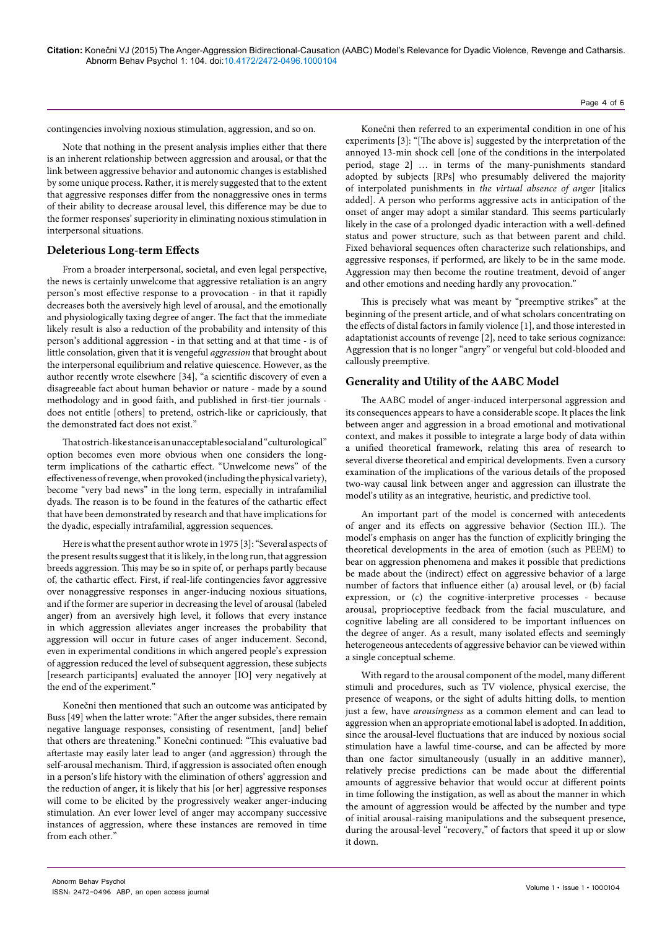contingencies involving noxious stimulation, aggression, and so on.

Note that nothing in the present analysis implies either that there is an inherent relationship between aggression and arousal, or that the link between aggressive behavior and autonomic changes is established by some unique process. Rather, it is merely suggested that to the extent that aggressive responses differ from the nonaggressive ones in terms of their ability to decrease arousal level, this difference may be due to the former responses' superiority in eliminating noxious stimulation in interpersonal situations.

#### **Deleterious Long-term Effects**

From a broader interpersonal, societal, and even legal perspective, the news is certainly unwelcome that aggressive retaliation is an angry person's most effective response to a provocation - in that it rapidly decreases both the aversively high level of arousal, and the emotionally and physiologically taxing degree of anger. The fact that the immediate likely result is also a reduction of the probability and intensity of this person's additional aggression - in that setting and at that time - is of little consolation, given that it is vengeful *aggression* that brought about the interpersonal equilibrium and relative quiescence. However, as the author recently wrote elsewhere [34], "a scientific discovery of even a disagreeable fact about human behavior or nature - made by a sound methodology and in good faith, and published in first-tier journals does not entitle [others] to pretend, ostrich-like or capriciously, that the demonstrated fact does not exist."

That ostrich-like stance is an unacceptable social and "culturological" option becomes even more obvious when one considers the longterm implications of the cathartic effect. "Unwelcome news" of the effectiveness of revenge, when provoked (including the physical variety), become "very bad news" in the long term, especially in intrafamilial dyads. The reason is to be found in the features of the cathartic effect that have been demonstrated by research and that have implications for the dyadic, especially intrafamilial, aggression sequences.

Here is what the present author wrote in 1975 [3]: "Several aspects of the present results suggest that it is likely, in the long run, that aggression breeds aggression. This may be so in spite of, or perhaps partly because of, the cathartic effect. First, if real-life contingencies favor aggressive over nonaggressive responses in anger-inducing noxious situations, and if the former are superior in decreasing the level of arousal (labeled anger) from an aversively high level, it follows that every instance in which aggression alleviates anger increases the probability that aggression will occur in future cases of anger inducement. Second, even in experimental conditions in which angered people's expression of aggression reduced the level of subsequent aggression, these subjects [research participants] evaluated the annoyer [IO] very negatively at the end of the experiment."

Konečni then mentioned that such an outcome was anticipated by Buss [49] when the latter wrote: "After the anger subsides, there remain negative language responses, consisting of resentment, [and] belief that others are threatening." Konečni continued: "This evaluative bad aftertaste may easily later lead to anger (and aggression) through the self-arousal mechanism. Third, if aggression is associated often enough in a person's life history with the elimination of others' aggression and the reduction of anger, it is likely that his [or her] aggressive responses will come to be elicited by the progressively weaker anger-inducing stimulation. An ever lower level of anger may accompany successive instances of aggression, where these instances are removed in time from each other."

Konečni then referred to an experimental condition in one of his experiments [3]: "[The above is] suggested by the interpretation of the annoyed 13-min shock cell [one of the conditions in the interpolated period, stage 2] … in terms of the many-punishments standard adopted by subjects [RPs] who presumably delivered the majority of interpolated punishments in *the virtual absence of anger* [italics added]. A person who performs aggressive acts in anticipation of the onset of anger may adopt a similar standard. This seems particularly likely in the case of a prolonged dyadic interaction with a well-defined status and power structure, such as that between parent and child. Fixed behavioral sequences often characterize such relationships, and aggressive responses, if performed, are likely to be in the same mode. Aggression may then become the routine treatment, devoid of anger and other emotions and needing hardly any provocation."

This is precisely what was meant by "preemptive strikes" at the beginning of the present article, and of what scholars concentrating on the effects of distal factors in family violence [1], and those interested in adaptationist accounts of revenge [2], need to take serious cognizance: Aggression that is no longer "angry" or vengeful but cold-blooded and callously preemptive.

## **Generality and Utility of the AABC Model**

The AABC model of anger-induced interpersonal aggression and its consequences appears to have a considerable scope. It places the link between anger and aggression in a broad emotional and motivational context, and makes it possible to integrate a large body of data within a unified theoretical framework, relating this area of research to several diverse theoretical and empirical developments. Even a cursory examination of the implications of the various details of the proposed two-way causal link between anger and aggression can illustrate the model's utility as an integrative, heuristic, and predictive tool.

An important part of the model is concerned with antecedents of anger and its effects on aggressive behavior (Section III.). The model's emphasis on anger has the function of explicitly bringing the theoretical developments in the area of emotion (such as PEEM) to bear on aggression phenomena and makes it possible that predictions be made about the (indirect) effect on aggressive behavior of a large number of factors that influence either (a) arousal level, or (b) facial expression, or (c) the cognitive-interpretive processes - because arousal, proprioceptive feedback from the facial musculature, and cognitive labeling are all considered to be important influences on the degree of anger. As a result, many isolated effects and seemingly heterogeneous antecedents of aggressive behavior can be viewed within a single conceptual scheme.

With regard to the arousal component of the model, many different stimuli and procedures, such as TV violence, physical exercise, the presence of weapons, or the sight of adults hitting dolls, to mention just a few, have *arousingness* as a common element and can lead to aggression when an appropriate emotional label is adopted. In addition, since the arousal-level fluctuations that are induced by noxious social stimulation have a lawful time-course, and can be affected by more than one factor simultaneously (usually in an additive manner), relatively precise predictions can be made about the differential amounts of aggressive behavior that would occur at different points in time following the instigation, as well as about the manner in which the amount of aggression would be affected by the number and type of initial arousal-raising manipulations and the subsequent presence, during the arousal-level "recovery," of factors that speed it up or slow it down.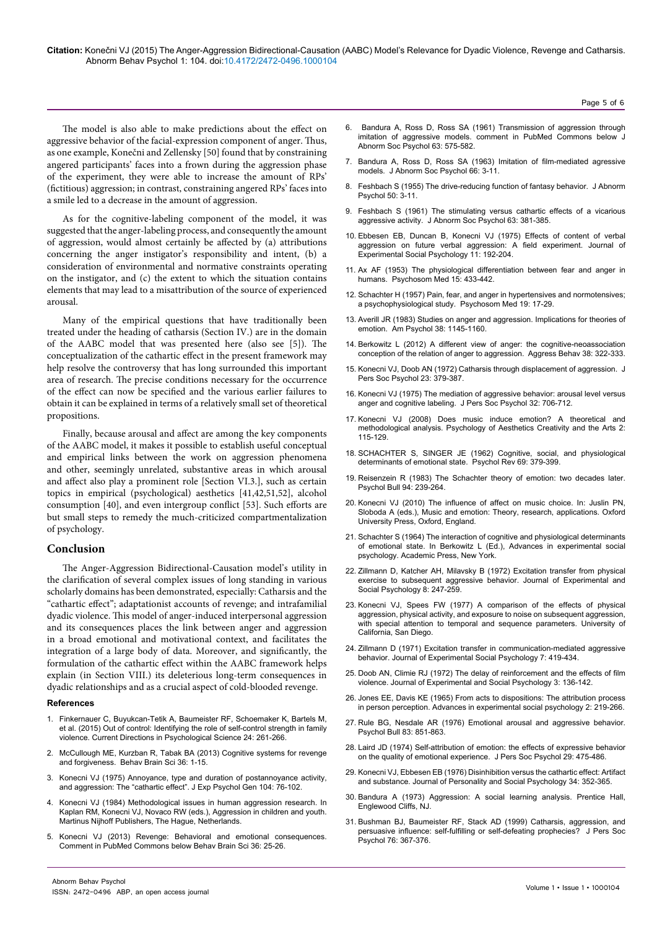The model is also able to make predictions about the effect on aggressive behavior of the facial-expression component of anger. Thus, as one example, Konečni and Zellensky [50] found that by constraining angered participants' faces into a frown during the aggression phase of the experiment, they were able to increase the amount of RPs' (fictitious) aggression; in contrast, constraining angered RPs' faces into a smile led to a decrease in the amount of aggression.

As for the cognitive-labeling component of the model, it was suggested that the anger-labeling process, and consequently the amount of aggression, would almost certainly be affected by (a) attributions concerning the anger instigator's responsibility and intent, (b) a consideration of environmental and normative constraints operating on the instigator, and (c) the extent to which the situation contains elements that may lead to a misattribution of the source of experienced arousal.

Many of the empirical questions that have traditionally been treated under the heading of catharsis (Section IV.) are in the domain of the AABC model that was presented here (also see [5]). The conceptualization of the cathartic effect in the present framework may help resolve the controversy that has long surrounded this important area of research. The precise conditions necessary for the occurrence of the effect can now be specified and the various earlier failures to obtain it can be explained in terms of a relatively small set of theoretical propositions.

Finally, because arousal and affect are among the key components of the AABC model, it makes it possible to establish useful conceptual and empirical links between the work on aggression phenomena and other, seemingly unrelated, substantive areas in which arousal and affect also play a prominent role [Section VI.3.], such as certain topics in empirical (psychological) aesthetics [41,42,51,52], alcohol consumption [40], and even intergroup conflict [53]. Such efforts are but small steps to remedy the much-criticized compartmentalization of psychology.

#### **Conclusion**

The Anger-Aggression Bidirectional-Causation model's utility in the clarification of several complex issues of long standing in various scholarly domains has been demonstrated, especially: Catharsis and the "cathartic effect"; adaptationist accounts of revenge; and intrafamilial dyadic violence. This model of anger-induced interpersonal aggression and its consequences places the link between anger and aggression in a broad emotional and motivational context, and facilitates the integration of a large body of data. Moreover, and significantly, the formulation of the cathartic effect within the AABC framework helps explain (in Section VIII.) its deleterious long-term consequences in dyadic relationships and as a crucial aspect of cold-blooded revenge.

#### **References**

- 1. [Finkernauer C, Buyukcan-Tetik A, Baumeister RF, Schoemaker K, Bartels M,](http://cdp.sagepub.com/content/24/4/261.abstract) [et al. \(2015\) Out of control: Identifying the role of self-control strength in family](http://cdp.sagepub.com/content/24/4/261.abstract) [violence. Current Directions in Psychological Science 24: 261-266.](http://cdp.sagepub.com/content/24/4/261.abstract)
- 2. [McCullough ME, Kurzban R, Tabak BA \(2013\) Cognitive systems for revenge](http://www.ncbi.nlm.nih.gov/pubmed/23211191) [and forgiveness. Behav Brain Sci 36: 1-15.](http://www.ncbi.nlm.nih.gov/pubmed/23211191)
- 3. [Konecni VJ \(1975\) Annoyance, type and duration of postannoyance activity,](http://www.ncbi.nlm.nih.gov/pubmed/1159377) [and aggression: The "cathartic effect". J Exp Psychol Gen 104: 76-102.](http://www.ncbi.nlm.nih.gov/pubmed/1159377)
- 4. Konecni VJ (1984) Methodological issues in human aggression research. In Kaplan RM, Konecni VJ, Novaco RW (eds.), Aggression in children and youth. Martinus Nijhoff Publishers, The Hague, Netherlands.
- 5. [Konecni VJ \(2013\) Revenge: Behavioral and emotional consequences.](http://www.ncbi.nlm.nih.gov/pubmed/23211437) [Comment in PubMed Commons below Behav Brain Sci 36: 25-26.](http://www.ncbi.nlm.nih.gov/pubmed/23211437)

6. [Bandura A, Ross D, Ross SA \(1961\) Transmission of aggression through](http://www.ncbi.nlm.nih.gov/pubmed/13864605)  [imitation of aggressive models. comment in PubMed Commons below J](http://www.ncbi.nlm.nih.gov/pubmed/13864605)  [Abnorm Soc Psychol 63: 575-582.](http://www.ncbi.nlm.nih.gov/pubmed/13864605)

Page 5 of 6

- 7. [Bandura A, Ross D, Ross SA \(1963\) Imitation of film-mediated agressive](http://www.ncbi.nlm.nih.gov/pubmed/13966304)  [models. J Abnorm Soc Psychol 66: 3-11.](http://www.ncbi.nlm.nih.gov/pubmed/13966304)
- 8. [Feshbach S \(1955\) The drive-reducing function of fantasy behavior. J Abnorm](http://www.ncbi.nlm.nih.gov/pubmed/13232919)  [Psychol 50: 3-11.](http://www.ncbi.nlm.nih.gov/pubmed/13232919)
- 9. [Feshbach S \(1961\) The stimulating versus cathartic effects of a vicarious](http://www.ncbi.nlm.nih.gov/pubmed/13892628)  [aggressive activity. J Abnorm Soc Psychol 63: 381-385.](http://www.ncbi.nlm.nih.gov/pubmed/13892628)
- 10. [Ebbesen EB, Duncan B, Konecni VJ \(1975\) Effects of content of verbal](http://www.sciencedirect.com/science/article/pii/S0022103175800217)  [aggression on future verbal aggression: A field experiment. Journal of](http://www.sciencedirect.com/science/article/pii/S0022103175800217)  [Experimental Social Psychology 11: 192-204.](http://www.sciencedirect.com/science/article/pii/S0022103175800217)
- 11. [Ax AF \(1953\) The physiological differentiation between fear and anger in](http://www.ncbi.nlm.nih.gov/pubmed/13100546)  [humans. Psychosom Med 15: 433-442.](http://www.ncbi.nlm.nih.gov/pubmed/13100546)
- 12. Schachter H (1957) Pain, fear, and anger in hypertensives and normotensives; [a psychophysiological study. Psychosom Med 19: 17-29.](http://www.ncbi.nlm.nih.gov/pubmed/13400989)
- 13. [Averill JR \(1983\) Studies on anger and aggression. Implications for theories of](http://www.ncbi.nlm.nih.gov/pubmed/6650969)  [emotion. Am Psychol 38: 1145-1160.](http://www.ncbi.nlm.nih.gov/pubmed/6650969)
- 14. [Berkowitz L \(2012\) A different view of anger: the cognitive-neoassociation](http://www.ncbi.nlm.nih.gov/pubmed/25363699)  [conception of the relation of anger to aggression. Aggress Behav 38: 322-333.](http://www.ncbi.nlm.nih.gov/pubmed/25363699)
- 15. [Konecni VJ, Doob AN \(1972\) Catharsis through displacement of aggression. J](http://www.ncbi.nlm.nih.gov/pubmed/5070319)  [Pers Soc Psychol 23: 379-387.](http://www.ncbi.nlm.nih.gov/pubmed/5070319)
- 16. [Konecni VJ \(1975\) The mediation of aggressive behavior: arousal level versus](http://www.ncbi.nlm.nih.gov/pubmed/1185509)  [anger and cognitive labeling. J Pers Soc Psychol 32: 706-712.](http://www.ncbi.nlm.nih.gov/pubmed/1185509)
- 17. [Konecni VJ \(2008\) Does music induce emotion? A theoretical and](http://www.dooleykevin.com/6b.KncniMusEmot08.pdf)  [methodological analysis. Psychology of Aesthetics Creativity and the Arts 2:](http://www.dooleykevin.com/6b.KncniMusEmot08.pdf)  [115-129.](http://www.dooleykevin.com/6b.KncniMusEmot08.pdf)
- 18. [SCHACHTER S, SINGER JE \(1962\) Cognitive, social, and physiological](http://www.ncbi.nlm.nih.gov/pubmed/14497895)  [determinants of emotional state. Psychol Rev 69: 379-399.](http://www.ncbi.nlm.nih.gov/pubmed/14497895)
- 19. [Reisenzein R \(1983\) The Schachter theory of emotion: two decades later.](http://www.ncbi.nlm.nih.gov/pubmed/6356197)  [Psychol Bull 94: 239-264.](http://www.ncbi.nlm.nih.gov/pubmed/6356197)
- 20. Konecni VJ (2010) The influence of affect on music choice. In: Juslin PN, Sloboda A (eds.), Music and emotion: Theory, research, applications. Oxford University Press, Oxford, England.
- 21. Schachter S (1964) The interaction of cognitive and physiological determinants of emotional state. In Berkowitz L (Ed.), Advances in experimental social psychology. Academic Press, New York.
- 22. [Zillmann D, Katcher AH, Milavsky B \(1972\) Excitation transfer from physical](http://www.sciencedirect.com/science/article/pii/S0022103172800052)  [exercise to subsequent aggressive behavior. Journal of Experimental and](http://www.sciencedirect.com/science/article/pii/S0022103172800052)  [Social Psychology 8: 247-259.](http://www.sciencedirect.com/science/article/pii/S0022103172800052)
- 23. Konecni VJ, Spees FW (1977) A comparison of the effects of physical aggression, physical activity, and exposure to noise on subsequent aggression, with special attention to temporal and sequence parameters. University of California, San Diego.
- 24. [Zillmann D \(1971\) Excitation transfer in communication-mediated aggressive](http://www.sciencedirect.com/science/article/pii/0022103171900758)  [behavior. Journal of Experimental Social Psychology 7: 419-434.](http://www.sciencedirect.com/science/article/pii/0022103171900758)
- 25. Doob AN, Climie RJ (1972) The delay of reinforcement and the effects of film violence. Journal of Experimental and Social Psychology 3: 136-142.
- 26. [Jones EE, Davis KE \(1965\) From acts to dispositions: The attribution process](http://www.sciencedirect.com/science/article/pii/S0065260108601070)  [in person perception. Advances in experimental social psychology 2: 219-266.](http://www.sciencedirect.com/science/article/pii/S0065260108601070)
- 27. [Rule BG, Nesdale AR \(1976\) Emotional arousal and aggressive behavior.](http://www.ncbi.nlm.nih.gov/pubmed/794901)  [Psychol Bull 83: 851-863.](http://www.ncbi.nlm.nih.gov/pubmed/794901)
- 28. [Laird JD \(1974\) Self-attribution of emotion: the effects of expressive behavior](http://www.ncbi.nlm.nih.gov/pubmed/4818323)  [on the quality of emotional experience. J Pers Soc Psychol 29: 475-486.](http://www.ncbi.nlm.nih.gov/pubmed/4818323)
- 29. [Konecni VJ, Ebbesen EB \(1976\) Disinhibition versus the cathartic effect: Artifact](http://psycnet.apa.org/index.cfm?fa=buy.optionToBuy&id=1977-10313-001)  [and substance. Journal of Personality and Social Psychology 34: 352-365.](http://psycnet.apa.org/index.cfm?fa=buy.optionToBuy&id=1977-10313-001)
- 30. [Bandura A \(1973\) Aggression: A social learning analysis. Prentice Hall,](http://psycnet.apa.org/psycinfo/1974-00914-000)  Englewood Cliffs, NJ
- 31. [Bushman BJ, Baumeister RF, Stack AD \(1999\) Catharsis, aggression, and](http://www.ncbi.nlm.nih.gov/pubmed/10101875)  [persuasive influence: self-fulfilling or self-defeating prophecies? J Pers Soc](http://www.ncbi.nlm.nih.gov/pubmed/10101875)  [Psychol 76: 367-376.](http://www.ncbi.nlm.nih.gov/pubmed/10101875)